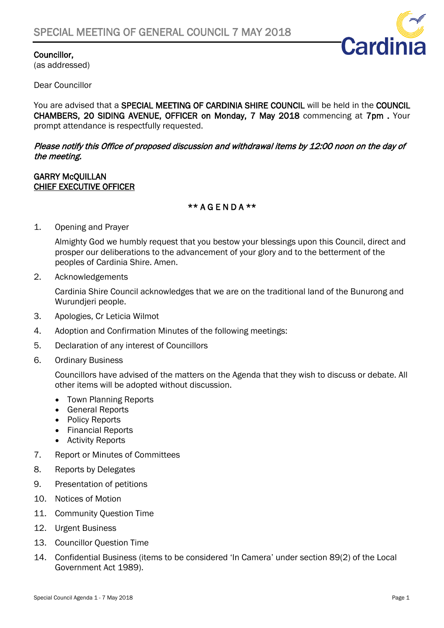

### Councillor,

(as addressed)

Dear Councillor

You are advised that a SPECIAL MEETING OF CARDINIA SHIRE COUNCIL will be held in the COUNCIL CHAMBERS, 20 SIDING AVENUE, OFFICER on Monday, 7 May 2018 commencing at 7pm . Your prompt attendance is respectfully requested.

#### Please notify this Office of proposed discussion and withdrawal items by 12:00 noon on the day of the meeting.

#### GARRY McQUILLAN CHIEF EXECUTIVE OFFICER

## \*\* A G E N D A \*\*

1. Opening and Prayer

Almighty God we humbly request that you bestow your blessings upon this Council, direct and prosper our deliberations to the advancement of your glory and to the betterment of the peoples of Cardinia Shire. Amen.

2. Acknowledgements

Cardinia Shire Council acknowledges that we are on the traditional land of the Bunurong and Wurundjeri people.

- 3. Apologies, Cr Leticia Wilmot
- 4. Adoption and Confirmation Minutes of the following meetings:
- 5. Declaration of any interest of Councillors
- 6. Ordinary Business

Councillors have advised of the matters on the Agenda that they wish to discuss or debate. All other items will be adopted without discussion.

- Town Planning Reports
- General Reports
- Policy Reports
- Financial Reports
- Activity Reports
- 7. Report or Minutes of Committees
- 8. Reports by Delegates
- 9. Presentation of petitions
- 10. Notices of Motion
- 11. Community Question Time
- 12. Urgent Business
- 13. Councillor Question Time
- 14. Confidential Business (items to be considered 'In Camera' under section 89(2) of the Local Government Act 1989).